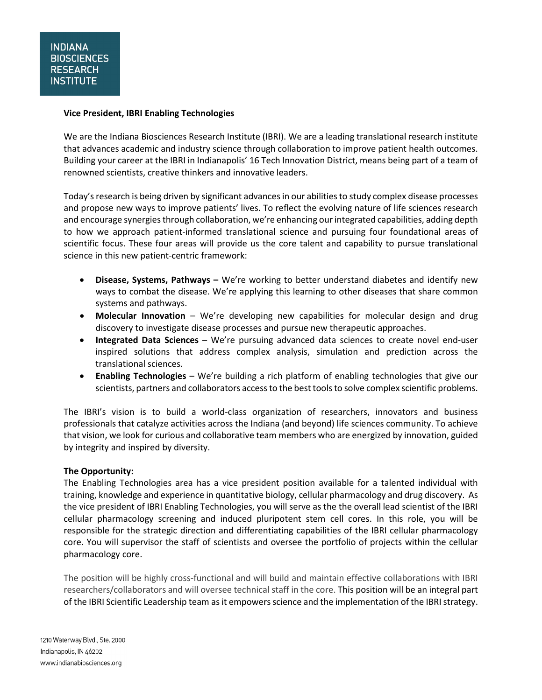#### **Vice President, IBRI Enabling Technologies**

We are the Indiana Biosciences Research Institute (IBRI). We are a leading translational research institute that advances academic and industry science through collaboration to improve patient health outcomes. Building your career at the IBRI in Indianapolis' 16 Tech Innovation District, means being part of a team of renowned scientists, creative thinkers and innovative leaders.

Today's research is being driven by significant advances in our abilities to study complex disease processes and propose new ways to improve patients' lives. To reflect the evolving nature of life sciences research and encourage synergiesthrough collaboration, we're enhancing ourintegrated capabilities, adding depth to how we approach patient-informed translational science and pursuing four foundational areas of scientific focus. These four areas will provide us the core talent and capability to pursue translational science in this new patient-centric framework:

- **Disease, Systems, Pathways –** We're working to better understand diabetes and identify new ways to combat the disease. We're applying this learning to other diseases that share common systems and pathways.
- **Molecular Innovation** We're developing new capabilities for molecular design and drug discovery to investigate disease processes and pursue new therapeutic approaches.
- **Integrated Data Sciences** We're pursuing advanced data sciences to create novel end-user inspired solutions that address complex analysis, simulation and prediction across the translational sciences.
- **Enabling Technologies** We're building a rich platform of enabling technologies that give our scientists, partners and collaborators access to the best tools to solve complex scientific problems.

The IBRI's vision is to build a world-class organization of researchers, innovators and business professionals that catalyze activities across the Indiana (and beyond) life sciences community. To achieve that vision, we look for curious and collaborative team members who are energized by innovation, guided by integrity and inspired by diversity.

#### **The Opportunity:**

The Enabling Technologies area has a vice president position available for a talented individual with training, knowledge and experience in quantitative biology, cellular pharmacology and drug discovery. As the vice president of IBRI Enabling Technologies, you will serve as the the overall lead scientist of the IBRI cellular pharmacology screening and induced pluripotent stem cell cores. In this role, you will be responsible for the strategic direction and differentiating capabilities of the IBRI cellular pharmacology core. You will supervisor the staff of scientists and oversee the portfolio of projects within the cellular pharmacology core.

The position will be highly cross-functional and will build and maintain effective collaborations with IBRI researchers/collaborators and will oversee technical staff in the core. This position will be an integral part of the IBRI Scientific Leadership team as it empowers science and the implementation of the IBRI strategy.